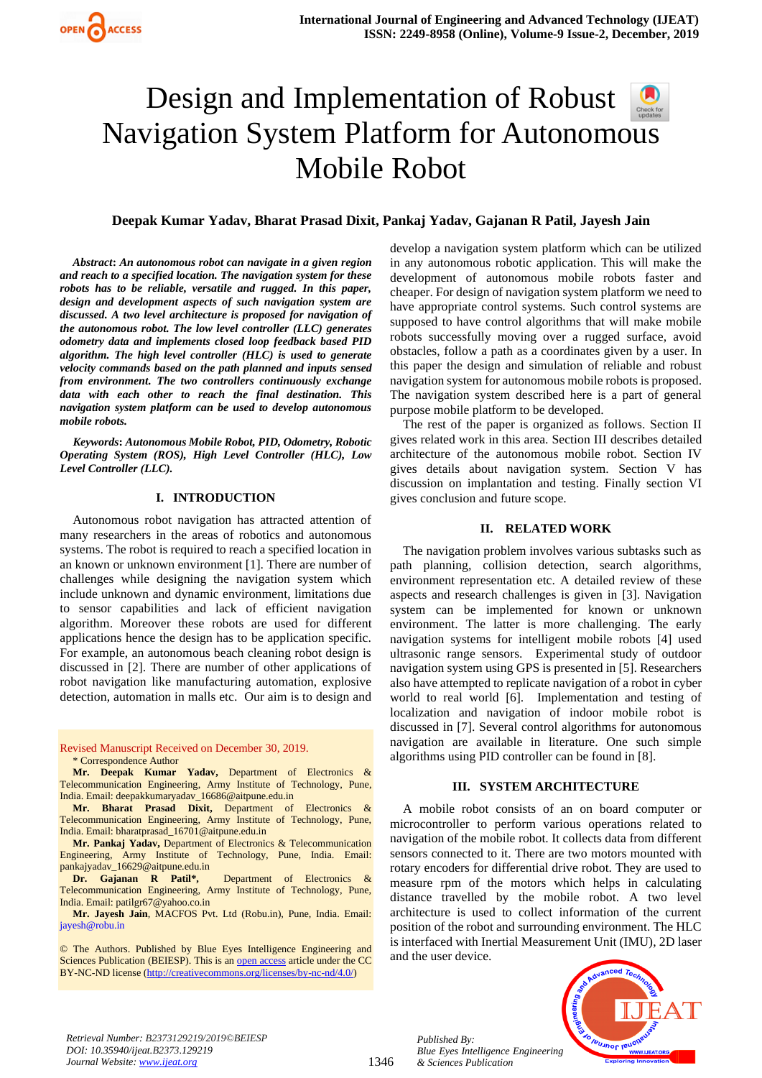# Design and Implementation of Robust Navigation System Platform for Autonom[ous](https://crossmark.crossref.org/dialog/?doi=10.35940/ijeat.B2373.129219&domain=www.ijeat.org)  Mobile Robot

# **Deepak Kumar Yadav, Bharat Prasad Dixit, Pankaj Yadav, Gajanan R Patil, Jayesh Jain**

*Abstract***:** *An autonomous robot can navigate in a given region and reach to a specified location. The navigation system for these robots has to be reliable, versatile and rugged. In this paper, design and development aspects of such navigation system are discussed. A two level architecture is proposed for navigation of the autonomous robot. The low level controller (LLC) generates odometry data and implements closed loop feedback based PID algorithm. The high level controller (HLC) is used to generate velocity commands based on the path planned and inputs sensed from environment. The two controllers continuously exchange data with each other to reach the final destination. This navigation system platform can be used to develop autonomous mobile robots.*

*Keywords***:** *Autonomous Mobile Robot, PID, Odometry, Robotic Operating System (ROS), High Level Controller (HLC), Low Level Controller (LLC).*

### **I. INTRODUCTION**

Autonomous robot navigation has attracted attention of many researchers in the areas of robotics and autonomous systems. The robot is required to reach a specified location in an known or unknown environment [1]. There are number of challenges while designing the navigation system which include unknown and dynamic environment, limitations due to sensor capabilities and lack of efficient navigation algorithm. Moreover these robots are used for different applications hence the design has to be application specific. For example, an autonomous beach cleaning robot design is discussed in [2]. There are number of other applications of robot navigation like manufacturing automation, explosive detection, automation in malls etc. Our aim is to design and

Revised Manuscript Received on December 30, 2019. \* Correspondence Author

**Mr. Deepak Kumar Yadav,** Department of Electronics & Telecommunication Engineering, Army Institute of Technology, Pune, India. Email[: deepakkumaryadav\\_16686@aitpune.edu.in](mailto:deepakkumaryadav_16686@aitpune.edu.in)

**Mr. Bharat Prasad Dixit,** Department of Electronics & Telecommunication Engineering, Army Institute of Technology, Pune, India. Email[: bharatprasad\\_16701@aitpune.edu.in](mailto:bharatprasad_16701@aitpune.edu.in)

**Mr. Pankaj Yadav,** Department of Electronics & Telecommunication Engineering, Army Institute of Technology, Pune, India. Email: [pankajyadav\\_16629@aitpune.edu.in](mailto:pankajyadav_16629@aitpune.edu.in)

**Dr. Gajanan R Patil\*,** Department of Electronics & Telecommunication Engineering, Army Institute of Technology, Pune, India. Email[: patilgr67@yahoo.co.in](mailto:patilgr67@yahoo.co.in)

**Mr. Jayesh Jain**, MACFOS Pvt. Ltd (Robu.in), Pune, India. Email: [jayesh@robu.in](mailto:jayesh@robu.in)

© The Authors. Published by Blue Eyes Intelligence Engineering and Sciences Publication (BEIESP). This is a[n open access](https://www.openaccess.nl/en/open-publications) article under the CC BY-NC-ND license [\(http://creativecommons.org/licenses/by-nc-nd/4.0/\)](http://creativecommons.org/licenses/by-nc-nd/4.0/)

develop a navigation system platform which can be utilized in any autonomous robotic application. This will make the development of autonomous mobile robots faster and cheaper. For design of navigation system platform we need to have appropriate control systems. Such control systems are supposed to have control algorithms that will make mobile robots successfully moving over a rugged surface, avoid obstacles, follow a path as a coordinates given by a user. In this paper the design and simulation of reliable and robust navigation system for autonomous mobile robots is proposed. The navigation system described here is a part of general purpose mobile platform to be developed.

The rest of the paper is organized as follows. Section II gives related work in this area. Section III describes detailed architecture of the autonomous mobile robot. Section IV gives details about navigation system. Section V has discussion on implantation and testing. Finally section VI gives conclusion and future scope.

## **II. RELATED WORK**

The navigation problem involves various subtasks such as path planning, collision detection, search algorithms, environment representation etc. A detailed review of these aspects and research challenges is given in [3]. Navigation system can be implemented for known or unknown environment. The latter is more challenging. The early navigation systems for intelligent mobile robots [4] used ultrasonic range sensors. Experimental study of outdoor navigation system using GPS is presented in [5]. Researchers also have attempted to replicate navigation of a robot in cyber world to real world [6]. Implementation and testing of localization and navigation of indoor mobile robot is discussed in [7]. Several control algorithms for autonomous navigation are available in literature. One such simple algorithms using PID controller can be found in [8].

### **III. SYSTEM ARCHITECTURE**

A mobile robot consists of an on board computer or microcontroller to perform various operations related to navigation of the mobile robot. It collects data from different sensors connected to it. There are two motors mounted with rotary encoders for differential drive robot. They are used to measure rpm of the motors which helps in calculating distance travelled by the mobile robot. A two level architecture is used to collect information of the current position of the robot and surrounding environment. The HLC is interfaced with Inertial Measurement Unit (IMU), 2D laser and the user device.



*Retrieval Number: B2373129219/2019©BEIESP DOI: 10.35940/ijeat.B2373.129219 Journal Website[: www.ijeat.org](http://www.ijeat.org/)*

1346

*Published By: Blue Eyes Intelligence Engineering & Sciences Publication*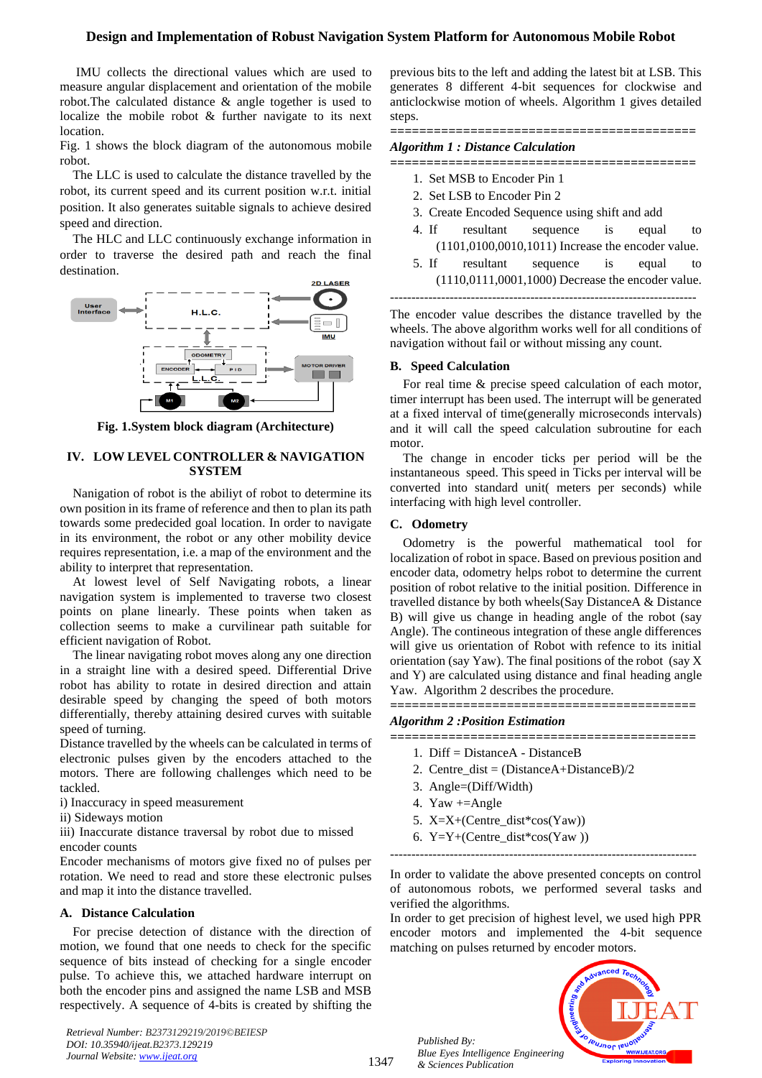# **Design and Implementation of Robust Navigation System Platform for Autonomous Mobile Robot**

IMU collects the directional values which are used to measure angular displacement and orientation of the mobile robot.The calculated distance & angle together is used to localize the mobile robot & further navigate to its next location.

Fig. 1 shows the block diagram of the autonomous mobile robot.

The LLC is used to calculate the distance travelled by the robot, its current speed and its current position w.r.t. initial position. It also generates suitable signals to achieve desired speed and direction.

The HLC and LLC continuously exchange information in order to traverse the desired path and reach the final destination.



**Fig. 1.System block diagram (Architecture)**

## **IV. LOW LEVEL CONTROLLER & NAVIGATION SYSTEM**

Nanigation of robot is the abiliyt of robot to determine its own position in its frame of reference and then to plan its path towards some predecided goal location. In order to navigate in its environment, the robot or any other mobility device requires representation, i.e. a map of the environment and the ability to interpret that representation.

At lowest level of Self Navigating robots, a linear navigation system is implemented to traverse two closest points on plane linearly. These points when taken as collection seems to make a curvilinear path suitable for efficient navigation of Robot.

The linear navigating robot moves along any one direction in a straight line with a desired speed. Differential Drive robot has ability to rotate in desired direction and attain desirable speed by changing the speed of both motors differentially, thereby attaining desired curves with suitable speed of turning.

Distance travelled by the wheels can be calculated in terms of electronic pulses given by the encoders attached to the motors. There are following challenges which need to be tackled.

i) Inaccuracy in speed measurement

ii) Sideways motion

iii) Inaccurate distance traversal by robot due to missed encoder counts

Encoder mechanisms of motors give fixed no of pulses per rotation. We need to read and store these electronic pulses and map it into the distance travelled.

### **A. Distance Calculation**

For precise detection of distance with the direction of motion, we found that one needs to check for the specific sequence of bits instead of checking for a single encoder pulse. To achieve this, we attached hardware interrupt on both the encoder pins and assigned the name LSB and MSB respectively. A sequence of 4-bits is created by shifting the

*Retrieval Number: B2373129219/2019©BEIESP DOI: 10.35940/ijeat.B2373.129219 Journal Website[: www.ijeat.org](http://www.ijeat.org/)*

previous bits to the left and adding the latest bit at LSB. This generates 8 different 4-bit sequences for clockwise and anticlockwise motion of wheels. Algorithm 1 gives detailed steps.

*==========================================*

# *Algorithm 1 : Distance Calculation*

*==========================================*

- 1. Set MSB to Encoder Pin 1
- 2. Set LSB to Encoder Pin 2
- 3. Create Encoded Sequence using shift and add
- 4. If resultant sequence is equal to (1101,0100,0010,1011) Increase the encoder value.
- 5. If resultant sequence is equal to (1110,0111,0001,1000) Decrease the encoder value. ------------------------------------------------------------------------

The encoder value describes the distance travelled by the wheels. The above algorithm works well for all conditions of navigation without fail or without missing any count.

### **B. Speed Calculation**

For real time & precise speed calculation of each motor, timer interrupt has been used. The interrupt will be generated at a fixed interval of time(generally microseconds intervals) and it will call the speed calculation subroutine for each motor.

The change in encoder ticks per period will be the instantaneous speed. This speed in Ticks per interval will be converted into standard unit( meters per seconds) while interfacing with high level controller.

## **C. Odometry**

Odometry is the powerful mathematical tool for localization of robot in space. Based on previous position and encoder data, odometry helps robot to determine the current position of robot relative to the initial position. Difference in travelled distance by both wheels(Say DistanceA & Distance B) will give us change in heading angle of the robot (say Angle). The contineous integration of these angle differences will give us orientation of Robot with refence to its initial orientation (say Yaw). The final positions of the robot (say X and Y) are calculated using distance and final heading angle Yaw. Algorithm 2 describes the procedure.

*==========================================*

*Algorithm 2 :Position Estimation*

- *==========================================*
	- 1. Diff = DistanceA DistanceB
	- 2. Centre\_dist = (DistanceA+DistanceB)/2
	- 3. Angle=(Diff/Width)
	- 4. Yaw +=Angle
	- 5. X=X+(Centre\_dist\*cos(Yaw))
	- 6. Y=Y+(Centre\_dist\*cos(Yaw ))

------------------------------------------------------------------------

In order to validate the above presented concepts on control of autonomous robots, we performed several tasks and verified the algorithms.

In order to get precision of highest level, we used high PPR encoder motors and implemented the 4-bit sequence matching on pulses returned by encoder motors.

*Published By: Blue Eyes Intelligence Engineering & Sciences Publication* 

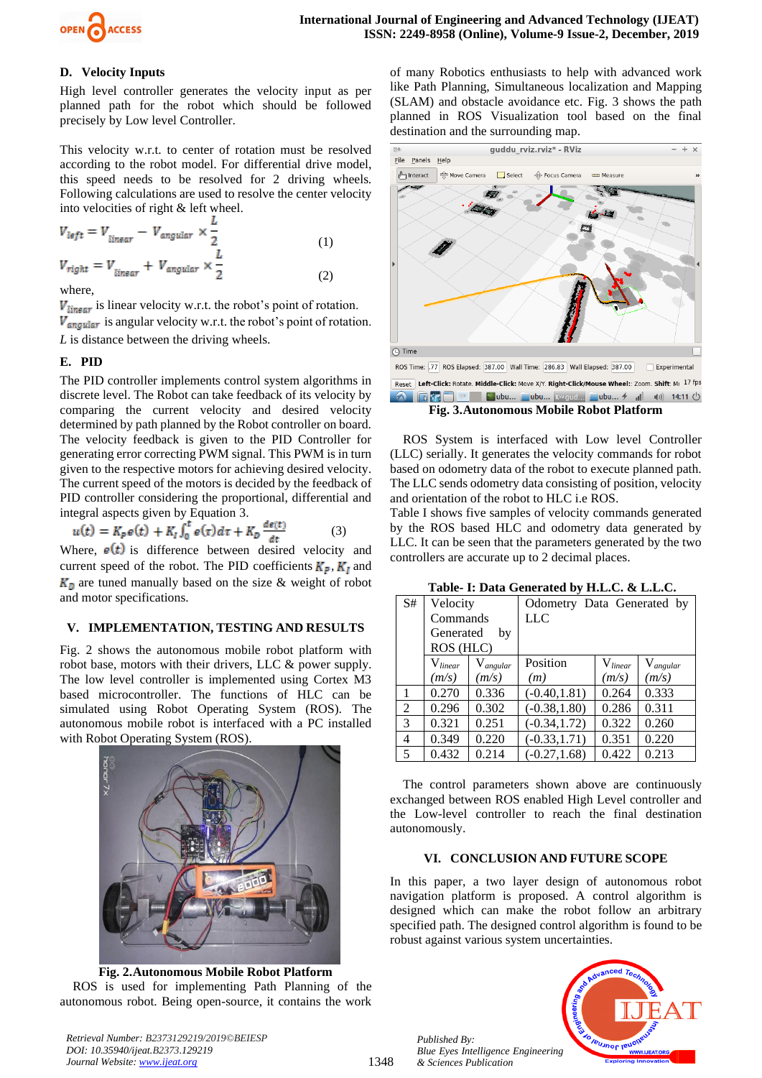

# **D. Velocity Inputs**

High level controller generates the velocity input as per planned path for the robot which should be followed precisely by Low level Controller.

This velocity w.r.t. to center of rotation must be resolved according to the robot model. For differential drive model, this speed needs to be resolved for 2 driving wheels. Following calculations are used to resolve the center velocity into velocities of right & left wheel.

$$
V_{left} = V_{linear} - V_{angular} \times \frac{L}{2}
$$
  
\n
$$
V_{right} = V_{linear} + V_{angular} \times \frac{L}{2}
$$
 (1)  
\n(1)

where,

 $V_{linear}$  is linear velocity w.r.t. the robot's point of rotation.  $V_{angular}$  is angular velocity w.r.t. the robot's point of rotation. *L* is distance between the driving wheels.

# **E. PID**

The PID controller implements control system algorithms in discrete level. The Robot can take feedback of its velocity by comparing the current velocity and desired velocity determined by path planned by the Robot controller on board. The velocity feedback is given to the PID Controller for generating error correcting PWM signal. This PWM is in turn given to the respective motors for achieving desired velocity. The current speed of the motors is decided by the feedback of PID controller considering the proportional, differential and integral aspects given by Equation 3.

$$
u(t) = K_p e(t) + K_l \int_0^t e(\tau) d\tau + K_p \frac{de(t)}{dt}
$$
 (3)

Where,  $e(t)$  is difference between desired velocity and current speed of the robot. The PID coefficients  $K_P$ ,  $K_I$  and  $K<sub>D</sub>$  are tuned manually based on the size & weight of robot and motor specifications.

## **V. IMPLEMENTATION, TESTING AND RESULTS**

Fig. 2 shows the autonomous mobile robot platform with robot base, motors with their drivers, LLC & power supply. The low level controller is implemented using Cortex M3 based microcontroller. The functions of HLC can be simulated using Robot Operating System (ROS). The autonomous mobile robot is interfaced with a PC installed with Robot Operating System (ROS).



**Fig. 2.Autonomous Mobile Robot Platform** ROS is used for implementing Path Planning of the autonomous robot. Being open-source, it contains the work

of many Robotics enthusiasts to help with advanced work like Path Planning, Simultaneous localization and Mapping (SLAM) and obstacle avoidance etc. Fig. 3 shows the path planned in ROS Visualization tool based on the final destination and the surrounding map.



**Fig. 3.Autonomous Mobile Robot Platform**

ROS System is interfaced with Low level Controller (LLC) serially. It generates the velocity commands for robot based on odometry data of the robot to execute planned path. The LLC sends odometry data consisting of position, velocity and orientation of the robot to HLC i.e ROS.

Table I shows five samples of velocity commands generated by the ROS based HLC and odometry data generated by LLC. It can be seen that the parameters generated by the two controllers are accurate up to 2 decimal places.

**Table- I: Data Generated by H.L.C. & L.L.C.**

| S# | Velocity        |               | Odometry Data Generated by |              |               |
|----|-----------------|---------------|----------------------------|--------------|---------------|
|    | Commands        |               | <b>LLC</b>                 |              |               |
|    | Generated<br>by |               |                            |              |               |
|    | ROS (HLC)       |               |                            |              |               |
|    | $V_{linear}$    | $V_{angular}$ | Position                   | $V_{linear}$ | $V_{angular}$ |
|    | (m/s)           | (m/s)         | (m)                        | (m/s)        | (m/s)         |
|    | 0.270           | 0.336         | $(-0.40, 1.81)$            | 0.264        | 0.333         |
| 2  | 0.296           | 0.302         | $(-0.38, 1.80)$            | 0.286        | 0.311         |
| 3  | 0.321           | 0.251         | $(-0.34, 1.72)$            | 0.322        | 0.260         |
| 4  | 0.349           | 0.220         | $(-0.33, 1.71)$            | 0.351        | 0.220         |
| 5  | 0.432           | 0.214         | $(-0.27, 1.68)$            | 0.422        | 0.213         |

The control parameters shown above are continuously exchanged between ROS enabled High Level controller and the Low-level controller to reach the final destination autonomously.

### **VI. CONCLUSION AND FUTURE SCOPE**

In this paper, a two layer design of autonomous robot navigation platform is proposed. A control algorithm is designed which can make the robot follow an arbitrary specified path. The designed control algorithm is found to be robust against various system uncertainties.

*Published By: Blue Eyes Intelligence Engineering & Sciences Publication* 



*Retrieval Number: B2373129219/2019©BEIESP DOI: 10.35940/ijeat.B2373.129219 Journal Website[: www.ijeat.org](http://www.ijeat.org/)*